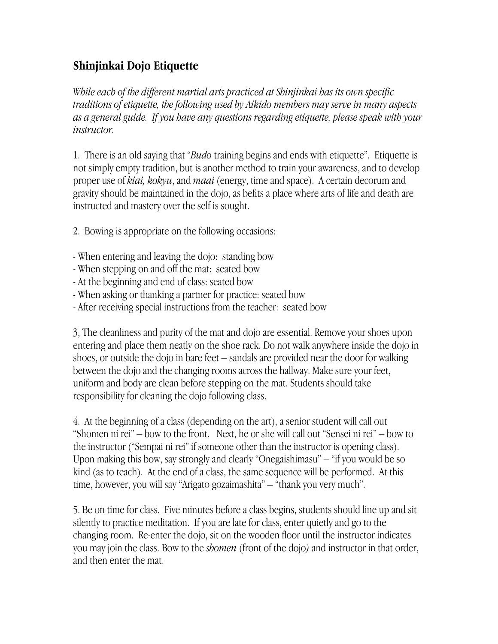## **Shinjinkai Dojo Etiquette**

*While eacb of the different martial arts practiced at Shinjinkai has its own specific traditions of etiquette, the following used by Aikido members may serve in many aspects as a general guide. If you have any questions regarding etiquette, please speak with your instructor.*

1. There is an old saying that "*Budo* training begins and ends with etiquette". Etiquette is not simply empty tradition, but is another method to train your awareness, and to develop proper use of *kiai, kokyu*, and *maai* (energy, time and space). A certain decorum and gravity should be maintained in the dojo, as befits a place where arts of life and death are instructed and mastery over the self is sought.

2. Bowing is appropriate on the following occasions:

- When entering and leaving the dojo: standing bow
- When stepping on and off the mat: seated bow
- At the beginning and end of class: seated bow
- When asking or thanking a partner for practice: seated bow
- After receiving special instructions from the teacher: seated bow

3, The cleanliness and purity of the mat and dojo are essential. Remove your shoes upon entering and place them neatly on the shoe rack. Do not walk anywhere inside the dojo in shoes, or outside the dojo in bare feet – sandals are provided near the door for walking between the dojo and the changing rooms across the hallway. Make sure your feet, uniform and body are clean before stepping on the mat. Students should take responsibility for cleaning the dojo following class.

4. At the beginning of a class (depending on the art), a senior student will call out "Shomen ni rei" – bow to the front. Next, he or she will call out "Sensei ni rei" – bow to the instructor ("Sempai ni rei" if someone other than the instructor is opening class). Upon making this bow, say strongly and clearly "Onegaishimasu" – "if you would be so kind (as to teach). At the end of a class, the same sequence will be performed. At this time, however, you will say "Arigato gozaimashita" – "thank you very much".

5. Be on time for class. Five minutes before a class begins, students should line up and sit silently to practice meditation. If you are late for class, enter quietly and go to the changing room. Re-enter the dojo, sit on the wooden floor until the instructor indicates you may join the class. Bow to the *shomen* (front of the dojo*)* and instructor in that order, and then enter the mat.